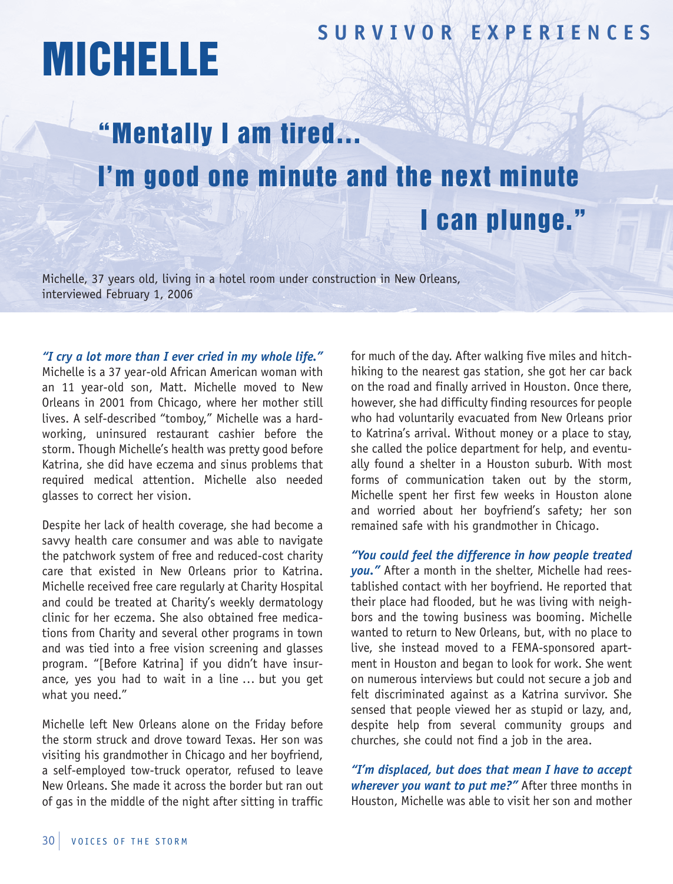## **SUR V I V OR EX P ER I ENCES**

## MICHELLE

## "Mentally I am tired… I'm good one minute and the next minute I can plunge."

Michelle, 37 years old, living in a hotel room under construction in New Orleans, interviewed February 1, 2006

*"I cry a lot more than I ever cried in my whole life."* Michelle is a 37 year-old African American woman with an 11 year-old son, Matt. Michelle moved to New Orleans in 2001 from Chicago, where her mother still lives. A self-described "tomboy," Michelle was a hardworking, uninsured restaurant cashier before the storm. Though Michelle's health was pretty good before Katrina, she did have eczema and sinus problems that required medical attention. Michelle also needed glasses to correct her vision.

Despite her lack of health coverage, she had become a savvy health care consumer and was able to navigate the patchwork system of free and reduced-cost charity care that existed in New Orleans prior to Katrina. Michelle received free care regularly at Charity Hospital and could be treated at Charity's weekly dermatology clinic for her eczema. She also obtained free medications from Charity and several other programs in town and was tied into a free vision screening and glasses program. "[Before Katrina] if you didn't have insurance, yes you had to wait in a line … but you get what you need."

Michelle left New Orleans alone on the Friday before the storm struck and drove toward Texas. Her son was visiting his grandmother in Chicago and her boyfriend, a self-employed tow-truck operator, refused to leave New Orleans. She made it across the border but ran out of gas in the middle of the night after sitting in traffic for much of the day. After walking five miles and hitchhiking to the nearest gas station, she got her car back on the road and finally arrived in Houston. Once there, however, she had difficulty finding resources for people who had voluntarily evacuated from New Orleans prior to Katrina's arrival. Without money or a place to stay, she called the police department for help, and eventually found a shelter in a Houston suburb. With most forms of communication taken out by the storm, Michelle spent her first few weeks in Houston alone and worried about her boyfriend's safety; her son remained safe with his grandmother in Chicago.

*"You could feel the difference in how people treated you."* After a month in the shelter, Michelle had reestablished contact with her boyfriend. He reported that their place had flooded, but he was living with neighbors and the towing business was booming. Michelle wanted to return to New Orleans, but, with no place to live, she instead moved to a FEMA-sponsored apartment in Houston and began to look for work. She went on numerous interviews but could not secure a job and felt discriminated against as a Katrina survivor. She sensed that people viewed her as stupid or lazy, and, despite help from several community groups and churches, she could not find a job in the area.

*"I'm displaced, but does that mean I have to accept wherever you want to put me?"* After three months in Houston, Michelle was able to visit her son and mother